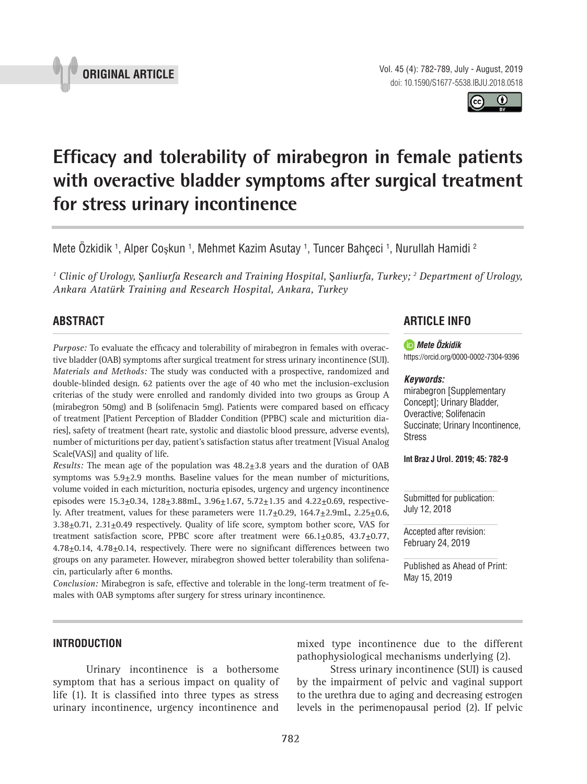Vol. 45 (4): 782-789, July - August, 2019 doi: 10.1590/S1677-5538.IBJU.2018.0518

**Efficacy and tolerability of mirabegron in female patients with overactive bladder symptoms after surgical treatment for stress urinary incontinence \_\_\_\_\_\_\_\_\_\_\_\_\_\_\_\_\_\_\_\_\_\_\_\_\_\_\_\_\_\_\_\_\_\_\_\_\_\_\_\_\_\_\_\_\_\_\_**

Mete Ozkidik <sup>1</sup>, Alper Coşkun <sup>1</sup>, Mehmet Kazim Asutay <sup>1</sup>, Tuncer Bahçeci <sup>1</sup>, Nurullah Hamidi <sup>2</sup>

<sup>1</sup> Clinic of Urology, Şanliurfa Research and Training Hospital, Şanliurfa, Turkey; <sup>2</sup> Department of Urology, *Ankara Atatürk Training and Research Hospital, Ankara, Turkey*

# **ABSTRACT**

*Purpose:* To evaluate the efficacy and tolerability of mirabegron in females with overactive bladder (OAB) symptoms after surgical treatment for stress urinary incontinence (SUI). *Materials and Methods:* The study was conducted with a prospective, randomized and double-blinded design. 62 patients over the age of 40 who met the inclusion-exclusion criterias of the study were enrolled and randomly divided into two groups as Group A  $(miraberon 50mg)$  and B (solifenacin 5mg). Patients were compared based on efficacy of treatment [Patient Perception of Bladder Condition (PPBC) scale and micturition diaries], safety of treatment (heart rate, systolic and diastolic blood pressure, adverse events), number of micturitions per day, patient's satisfaction status after treatment [Visual Analog Scale(VAS)] and quality of life.

*Results:* The mean age of the population was 48.2±3.8 years and the duration of OAB symptoms was 5.9±2.9 months. Baseline values for the mean number of micturitions, volume voided in each micturition, nocturia episodes, urgency and urgency incontinence episodes were  $15.3+0.34$ ,  $128+3.88$ mL,  $3.96+1.67$ ,  $5.72+1.35$  and  $4.22+0.69$ , respectively. After treatment, values for these parameters were  $11.7+0.29$ ,  $164.7+2.9$ mL,  $2.25+0.6$ , 3.38±0.71, 2.31±0.49 respectively. Quality of life score, symptom bother score, VAS for treatment satisfaction score, PPBC score after treatment were 66.1+0.85, 43.7+0.77,  $4.78\pm0.14$ ,  $4.78\pm0.14$ , respectively. There were no significant differences between two groups on any parameter. However, mirabegron showed better tolerability than solifenacin, particularly after 6 months.

*Conclusion:* Mirabegron is safe, effective and tolerable in the long-term treatment of females with OAB symptoms after surgery for stress urinary incontinence.

# **ARTICLE INFO**

#### *Mete Özkidik*

https://orcid.org/0000-0002-7304-9396

#### *Keywords:*

mirabegron [Supplementary Concept]; Urinary Bladder, Overactive; Solifenacin Succinate; Urinary Incontinence, **Stress** 

**Int Braz J Urol. 2019; 45: 782-9**

Submitted for publication: July 12, 2018

Accepted after revision: February 24, 2019

Published as Ahead of Print: May 15, 2019

## **INTRODUCTION**

Urinary incontinence is a bothersome symptom that has a serious impact on quality of life  $(1)$ . It is classified into three types as stress urinary incontinence, urgency incontinence and mixed type incontinence due to the different pathophysiological mechanisms underlying (2).

Stress urinary incontinence (SUI) is caused by the impairment of pelvic and vaginal support to the urethra due to aging and decreasing estrogen levels in the perimenopausal period (2). If pelvic



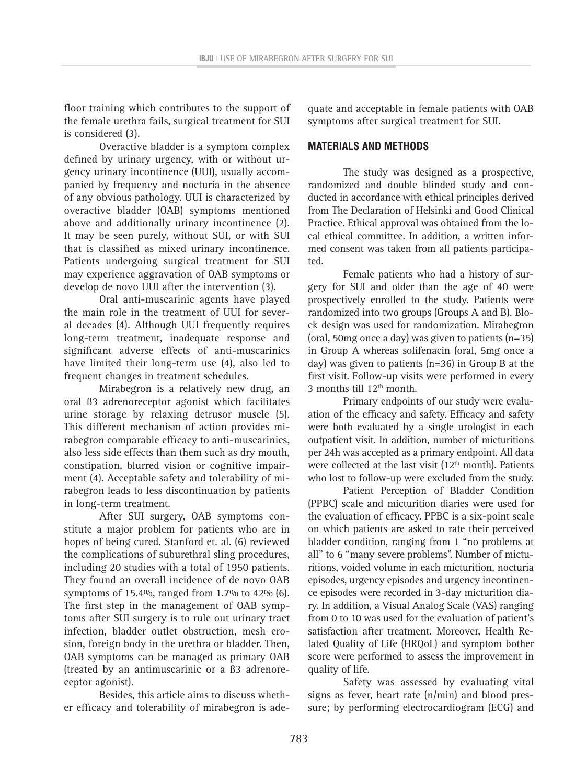floor training which contributes to the support of the female urethra fails, surgical treatment for SUI is considered (3).

Overactive bladder is a symptom complex defined by urinary urgency, with or without urgency urinary incontinence (UUI), usually accompanied by frequency and nocturia in the absence of any obvious pathology. UUI is characterized by overactive bladder (OAB) symptoms mentioned above and additionally urinary incontinence (2). It may be seen purely, without SUI, or with SUI that is classified as mixed urinary incontinence. Patients undergoing surgical treatment for SUI may experience aggravation of OAB symptoms or develop de novo UUI after the intervention (3).

Oral anti-muscarinic agents have played the main role in the treatment of UUI for several decades (4). Although UUI frequently requires long-term treatment, inadequate response and significant adverse effects of anti-muscarinics have limited their long-term use (4), also led to frequent changes in treatment schedules.

Mirabegron is a relatively new drug, an oral ß3 adrenoreceptor agonist which facilitates urine storage by relaxing detrusor muscle (5). This different mechanism of action provides mirabegron comparable efficacy to anti-muscarinics, also less side effects than them such as dry mouth, constipation, blurred vision or cognitive impairment (4). Acceptable safety and tolerability of mirabegron leads to less discontinuation by patients in long-term treatment.

After SUI surgery, OAB symptoms constitute a major problem for patients who are in hopes of being cured. Stanford et. al. (6) reviewed the complications of suburethral sling procedures, including 20 studies with a total of 1950 patients. They found an overall incidence of de novo OAB symptoms of 15.4%, ranged from 1.7% to 42% (6). The first step in the management of OAB symptoms after SUI surgery is to rule out urinary tract infection, bladder outlet obstruction, mesh erosion, foreign body in the urethra or bladder. Then, OAB symptoms can be managed as primary OAB (treated by an antimuscarinic or a ß3 adrenoreceptor agonist).

Besides, this article aims to discuss whether efficacy and tolerability of mirabegron is ade-

quate and acceptable in female patients with OAB symptoms after surgical treatment for SUI.

## **MATERIALS AND METHODS**

The study was designed as a prospective, randomized and double blinded study and conducted in accordance with ethical principles derived from The Declaration of Helsinki and Good Clinical Practice. Ethical approval was obtained from the local ethical committee. In addition, a written informed consent was taken from all patients participated.

Female patients who had a history of surgery for SUI and older than the age of 40 were prospectively enrolled to the study. Patients were randomized into two groups (Groups A and B). Block design was used for randomization. Mirabegron (oral, 50mg once a day) was given to patients (n=35) in Group A whereas solifenacin (oral, 5mg once a day) was given to patients (n=36) in Group B at the first visit. Follow-up visits were performed in every 3 months till  $12<sup>th</sup>$  month.

Primary endpoints of our study were evaluation of the efficacy and safety. Efficacy and safety were both evaluated by a single urologist in each outpatient visit. In addition, number of micturitions per 24h was accepted as a primary endpoint. All data were collected at the last visit (12<sup>th</sup> month). Patients who lost to follow-up were excluded from the study.

Patient Perception of Bladder Condition (PPBC) scale and micturition diaries were used for the evaluation of efficacy. PPBC is a six-point scale on which patients are asked to rate their perceived bladder condition, ranging from 1 "no problems at all" to 6 "many severe problems". Number of micturitions, voided volume in each micturition, nocturia episodes, urgency episodes and urgency incontinence episodes were recorded in 3-day micturition diary. In addition, a Visual Analog Scale (VAS) ranging from 0 to 10 was used for the evaluation of patient's satisfaction after treatment. Moreover, Health Related Quality of Life (HRQoL) and symptom bother score were performed to assess the improvement in quality of life.

Safety was assessed by evaluating vital signs as fever, heart rate (n/min) and blood pressure; by performing electrocardiogram (ECG) and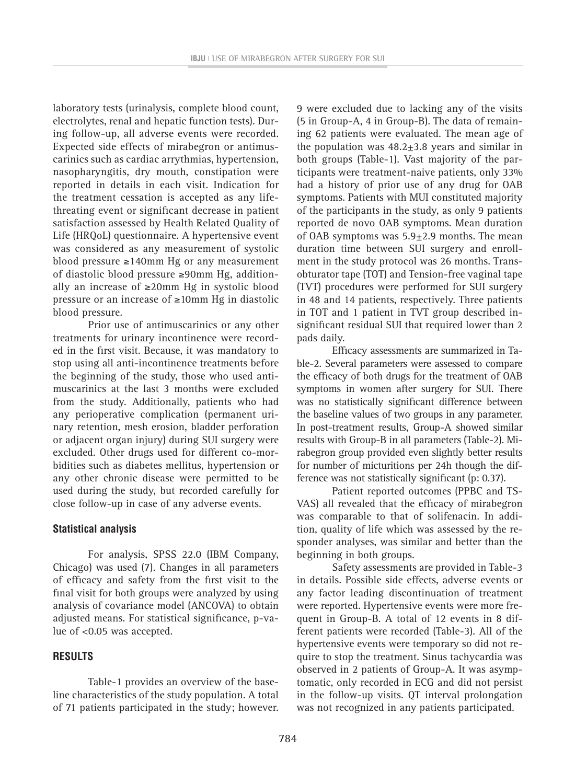laboratory tests (urinalysis, complete blood count, electrolytes, renal and hepatic function tests). During follow-up, all adverse events were recorded. Expected side effects of mirabegron or antimuscarinics such as cardiac arrythmias, hypertension, nasopharyngitis, dry mouth, constipation were reported in details in each visit. Indication for the treatment cessation is accepted as any lifethreating event or significant decrease in patient satisfaction assessed by Health Related Quality of Life (HRQoL) questionnaire. A hypertensive event was considered as any measurement of systolic blood pressure ≥140mm Hg or any measurement of diastolic blood pressure ≥90mm Hg, additionally an increase of ≥20mm Hg in systolic blood pressure or an increase of ≥10mm Hg in diastolic blood pressure.

Prior use of antimuscarinics or any other treatments for urinary incontinence were recorded in the first visit. Because, it was mandatory to stop using all anti-incontinence treatments before the beginning of the study, those who used antimuscarinics at the last 3 months were excluded from the study. Additionally, patients who had any perioperative complication (permanent urinary retention, mesh erosion, bladder perforation or adjacent organ injury) during SUI surgery were excluded. Other drugs used for different co-morbidities such as diabetes mellitus, hypertension or any other chronic disease were permitted to be used during the study, but recorded carefully for close follow-up in case of any adverse events.

## **Statistical analysis**

For analysis, SPSS 22.0 (IBM Company, Chicago) was used (7). Changes in all parameters of efficacy and safety from the first visit to the final visit for both groups were analyzed by using analysis of covariance model (ANCOVA) to obtain adjusted means. For statistical significance, p-value of <0.05 was accepted.

## **RESULTS**

Table-1 provides an overview of the baseline characteristics of the study population. A total of 71 patients participated in the study; however.

9 were excluded due to lacking any of the visits (5 in Group-A, 4 in Group-B). The data of remaining 62 patients were evaluated. The mean age of the population was  $48.2 \pm 3.8$  years and similar in both groups (Table-1). Vast majority of the participants were treatment-naive patients, only 33% had a history of prior use of any drug for OAB symptoms. Patients with MUI constituted majority of the participants in the study, as only 9 patients reported de novo OAB symptoms. Mean duration of OAB symptoms was  $5.9 \pm 2.9$  months. The mean duration time between SUI surgery and enrollment in the study protocol was 26 months. Transobturator tape (TOT) and Tension-free vaginal tape (TVT) procedures were performed for SUI surgery in 48 and 14 patients, respectively. Three patients in TOT and 1 patient in TVT group described insignificant residual SUI that required lower than 2 pads daily.

Efficacy assessments are summarized in Table-2. Several parameters were assessed to compare the efficacy of both drugs for the treatment of OAB symptoms in women after surgery for SUI. There was no statistically significant difference between the baseline values of two groups in any parameter. In post-treatment results, Group-A showed similar results with Group-B in all parameters (Table-2). Mirabegron group provided even slightly better results for number of micturitions per 24h though the difference was not statistically significant (p: 0.37).

Patient reported outcomes (PPBC and TS-VAS) all revealed that the efficacy of mirabegron was comparable to that of solifenacin. In addition, quality of life which was assessed by the responder analyses, was similar and better than the beginning in both groups.

Safety assessments are provided in Table-3 in details. Possible side effects, adverse events or any factor leading discontinuation of treatment were reported. Hypertensive events were more frequent in Group-B. A total of 12 events in 8 different patients were recorded (Table-3). All of the hypertensive events were temporary so did not require to stop the treatment. Sinus tachycardia was observed in 2 patients of Group-A. It was asymptomatic, only recorded in ECG and did not persist in the follow-up visits. QT interval prolongation was not recognized in any patients participated.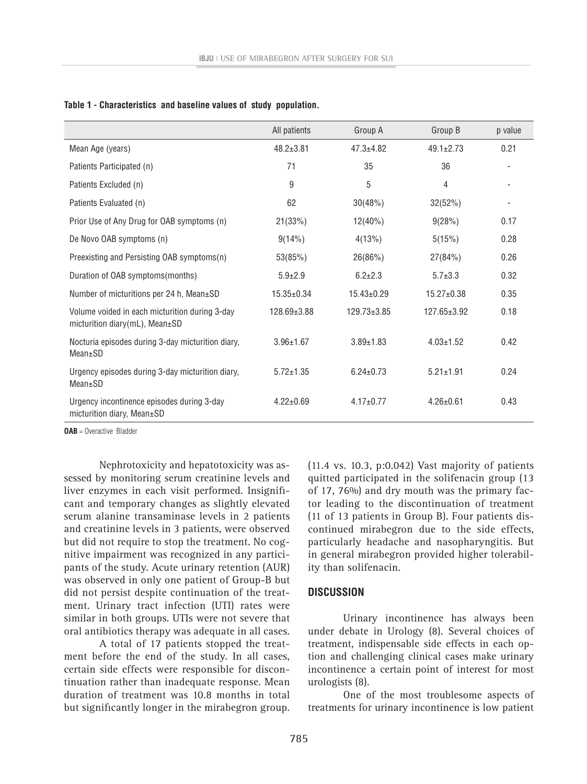|                                                                                  | All patients     | Group A           | Group B          | p value |
|----------------------------------------------------------------------------------|------------------|-------------------|------------------|---------|
| Mean Age (years)                                                                 | $48.2 \pm 3.81$  | $47.3 + 4.82$     | $49.1 \pm 2.73$  | 0.21    |
| Patients Participated (n)                                                        | 71               | 35                | 36               |         |
| Patients Excluded (n)                                                            | 9                | 5                 | 4                |         |
| Patients Evaluated (n)                                                           | 62               | 30(48%)           | 32(52%)          |         |
| Prior Use of Any Drug for OAB symptoms (n)                                       | 21(33%)          | $12(40\%)$        | 9(28%)           | 0.17    |
| De Novo OAB symptoms (n)                                                         | $9(14\%)$        | 4(13%)            | 5(15%)           | 0.28    |
| Preexisting and Persisting OAB symptoms(n)                                       | 53(85%)          | 26(86%)           | 27(84%)          | 0.26    |
| Duration of OAB symptoms(months)                                                 | $5.9{\pm}2.9$    | $6.2 \pm 2.3$     | $5.7 \pm 3.3$    | 0.32    |
| Number of micturitions per 24 h, Mean±SD                                         | $15.35 \pm 0.34$ | $15.43 \pm 0.29$  | $15.27 \pm 0.38$ | 0.35    |
| Volume voided in each micturition during 3-day<br>micturition diary(mL), Mean±SD | 128.69±3.88      | $129.73 \pm 3.85$ | 127.65±3.92      | 0.18    |
| Nocturia episodes during 3-day micturition diary,<br>Mean±SD                     | $3.96 \pm 1.67$  | $3.89 \pm 1.83$   | $4.03 \pm 1.52$  | 0.42    |
| Urgency episodes during 3-day micturition diary,<br>$Mean \pm SD$                | $5.72 \pm 1.35$  | $6.24 \pm 0.73$   | $5.21 \pm 1.91$  | 0.24    |
| Urgency incontinence episodes during 3-day<br>micturition diary, Mean±SD         | $4.22 \pm 0.69$  | $4.17 \pm 0.77$   | $4.26 \pm 0.61$  | 0.43    |

**Table 1 - Characteristics and baseline values of study population.**

**OAB** = Overactive Bladder

Nephrotoxicity and hepatotoxicity was assessed by monitoring serum creatinine levels and liver enzymes in each visit performed. Insignificant and temporary changes as slightly elevated serum alanine transaminase levels in 2 patients and creatinine levels in 3 patients, were observed but did not require to stop the treatment. No cognitive impairment was recognized in any participants of the study. Acute urinary retention (AUR) was observed in only one patient of Group-B but did not persist despite continuation of the treatment. Urinary tract infection (UTI) rates were similar in both groups. UTIs were not severe that oral antibiotics therapy was adequate in all cases.

A total of 17 patients stopped the treatment before the end of the study. In all cases, certain side effects were responsible for discontinuation rather than inadequate response. Mean duration of treatment was 10.8 months in total but significantly longer in the mirabegron group. (11.4 vs. 10.3, p:0.042) Vast majority of patients quitted participated in the solifenacin group (13 of 17, 76%) and dry mouth was the primary factor leading to the discontinuation of treatment (11 of 13 patients in Group B). Four patients discontinued mirabegron due to the side effects, particularly headache and nasopharyngitis. But in general mirabegron provided higher tolerability than solifenacin.

#### **DISCUSSION**

Urinary incontinence has always been under debate in Urology (8). Several choices of treatment, indispensable side effects in each option and challenging clinical cases make urinary incontinence a certain point of interest for most urologists (8).

One of the most troublesome aspects of treatments for urinary incontinence is low patient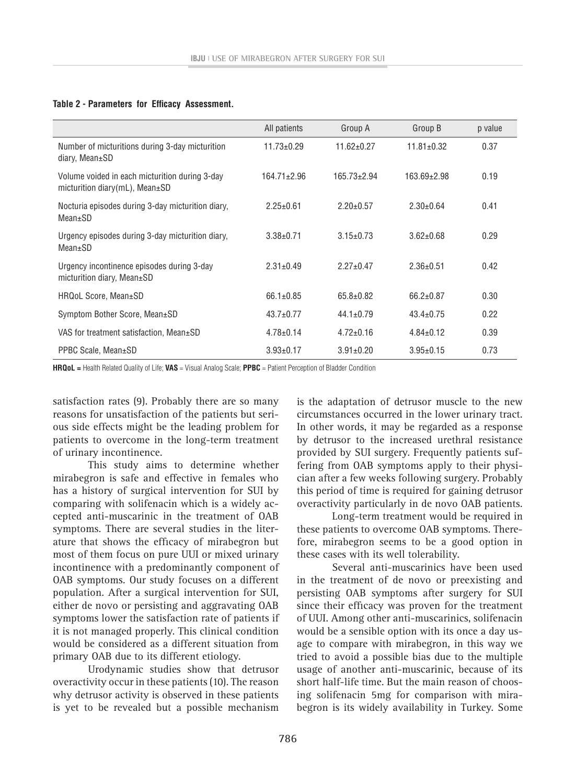### **Table 2 - Parameters for Efficacy Assessment.**

|                                                                                        | All patients      | Group A           | Group B           | p value |
|----------------------------------------------------------------------------------------|-------------------|-------------------|-------------------|---------|
| Number of micturitions during 3-day micturition<br>diary, Mean±SD                      | $11.73 \pm 0.29$  | $11.62 \pm 0.27$  | $11.81 \pm 0.32$  | 0.37    |
| Volume voided in each micturition during 3-day<br>micturition diary(mL), Mean $\pm$ SD | $164.71 \pm 2.96$ | $165.73 \pm 2.94$ | $163.69 \pm 2.98$ | 0.19    |
| Nocturia episodes during 3-day micturition diary,<br>$Mean \pm SD$                     | $2.25 \pm 0.61$   | $2.20 \pm 0.57$   | $2.30\pm0.64$     | 0.41    |
| Urgency episodes during 3-day micturition diary,<br>Mean±SD                            | $3.38 + 0.71$     | $3.15 \pm 0.73$   | $3.62 \pm 0.68$   | 0.29    |
| Urgency incontinence episodes during 3-day<br>micturition diary, Mean±SD               | $2.31 + 0.49$     | $2.27+0.47$       | $2.36 \pm 0.51$   | 0.42    |
| HRQoL Score, Mean±SD                                                                   | $66.1 \pm 0.85$   | $65.8 \pm 0.82$   | $66.2 \pm 0.87$   | 0.30    |
| Symptom Bother Score, Mean±SD                                                          | $43.7 \pm 0.77$   | $44.1 \pm 0.79$   | $43.4 \pm 0.75$   | 0.22    |
| VAS for treatment satisfaction, Mean±SD                                                | $4.78 \pm 0.14$   | $4.72 \pm 0.16$   | $4.84 \pm 0.12$   | 0.39    |
| PPBC Scale, Mean±SD                                                                    | $3.93 \pm 0.17$   | $3.91 \pm 0.20$   | $3.95 \pm 0.15$   | 0.73    |

**HRQoL =** Health Related Quality of Life; **VAS** = Visual Analog Scale; **PPBC** = Patient Perception of Bladder Condition

satisfaction rates (9). Probably there are so many reasons for unsatisfaction of the patients but serious side effects might be the leading problem for patients to overcome in the long-term treatment of urinary incontinence.

This study aims to determine whether mirabegron is safe and effective in females who has a history of surgical intervention for SUI by comparing with solifenacin which is a widely accepted anti-muscarinic in the treatment of OAB symptoms. There are several studies in the literature that shows the efficacy of mirabegron but most of them focus on pure UUI or mixed urinary incontinence with a predominantly component of OAB symptoms. Our study focuses on a different population. After a surgical intervention for SUI, either de novo or persisting and aggravating OAB symptoms lower the satisfaction rate of patients if it is not managed properly. This clinical condition would be considered as a different situation from primary OAB due to its different etiology.

Urodynamic studies show that detrusor overactivity occur in these patients (10). The reason why detrusor activity is observed in these patients is yet to be revealed but a possible mechanism

is the adaptation of detrusor muscle to the new circumstances occurred in the lower urinary tract. In other words, it may be regarded as a response by detrusor to the increased urethral resistance provided by SUI surgery. Frequently patients suffering from OAB symptoms apply to their physician after a few weeks following surgery. Probably this period of time is required for gaining detrusor overactivity particularly in de novo OAB patients.

Long-term treatment would be required in these patients to overcome OAB symptoms. Therefore, mirabegron seems to be a good option in these cases with its well tolerability.

Several anti-muscarinics have been used in the treatment of de novo or preexisting and persisting OAB symptoms after surgery for SUI since their efficacy was proven for the treatment of UUI. Among other anti-muscarinics, solifenacin would be a sensible option with its once a day usage to compare with mirabegron, in this way we tried to avoid a possible bias due to the multiple usage of another anti-muscarinic, because of its short half-life time. But the main reason of choosing solifenacin 5mg for comparison with mirabegron is its widely availability in Turkey. Some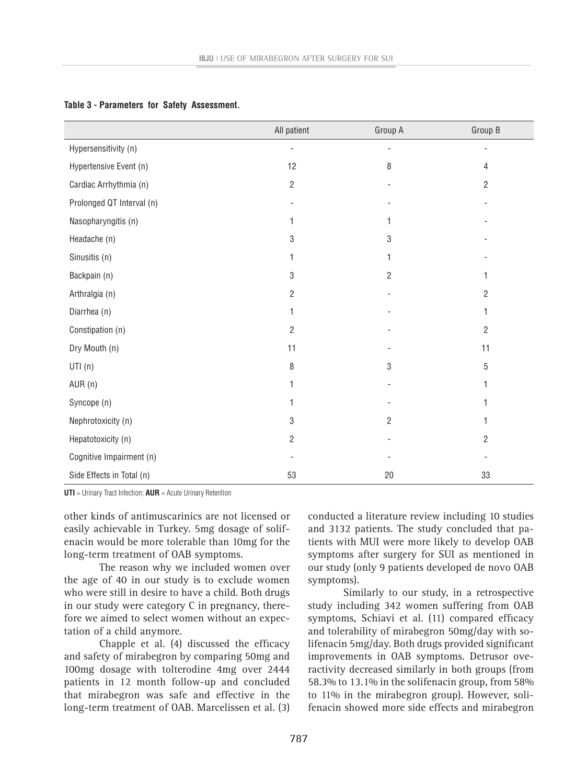|                           | All patient    | Group A                  | Group B |
|---------------------------|----------------|--------------------------|---------|
| Hypersensitivity (n)      |                |                          |         |
| Hypertensive Event (n)    | 12             | 8                        | 4       |
| Cardiac Arrhythmia (n)    | $\overline{c}$ |                          | 2       |
| Prolonged QT Interval (n) |                |                          |         |
| Nasopharyngitis (n)       | 1              | 1                        |         |
| Headache (n)              | 3              | 3                        |         |
| Sinusitis (n)             | 1              | 1                        |         |
| Backpain (n)              | 3              | $\overline{2}$           | 1       |
| Arthralgia (n)            | $\overline{2}$ |                          | 2       |
| Diarrhea (n)              | 1              |                          | 1       |
| Constipation (n)          | 2              |                          | 2       |
| Dry Mouth (n)             | 11             |                          | 11      |
| UTI(n)                    | 8              | 3                        | 5       |
| AUR (n)                   | 1              | $\overline{\phantom{a}}$ | 1       |
| Syncope (n)               | 1              |                          | 1       |
| Nephrotoxicity (n)        | 3              | $\overline{2}$           | 1       |
| Hepatotoxicity (n)        | $\overline{c}$ |                          | 2       |
| Cognitive Impairment (n)  |                |                          |         |
| Side Effects in Total (n) | 53             | 20                       | 33      |

### **Table 3 - Parameters for Safety Assessment.**

**UTI** = Urinary Tract Infection; **AUR** = Acute Urinary Retention

other kinds of antimuscarinics are not licensed or easily achievable in Turkey. 5mg dosage of solifenacin would be more tolerable than 10mg for the long-term treatment of OAB symptoms.

The reason why we included women over the age of 40 in our study is to exclude women who were still in desire to have a child. Both drugs in our study were category C in pregnancy, therefore we aimed to select women without an expectation of a child anymore.

Chapple et al. (4) discussed the efficacy and safety of mirabegron by comparing 50mg and 100mg dosage with tolterodine 4mg over 2444 patients in 12 month follow-up and concluded that mirabegron was safe and effective in the long-term treatment of OAB. Marcelissen et al. (3)

conducted a literature review including 10 studies and 3132 patients. The study concluded that patients with MUI were more likely to develop OAB symptoms after surgery for SUI as mentioned in our study (only 9 patients developed de novo OAB symptoms).

Similarly to our study, in a retrospective study including 342 women suffering from OAB symptoms, Schiavi et al. (11) compared efficacy and tolerability of mirabegron 50mg/day with solifenacin 5mg/day. Both drugs provided significant improvements in OAB symptoms. Detrusor overactivity decreased similarly in both groups (from 58.3% to 13.1% in the solifenacin group, from 58% to 11% in the mirabegron group). However, solifenacin showed more side effects and mirabegron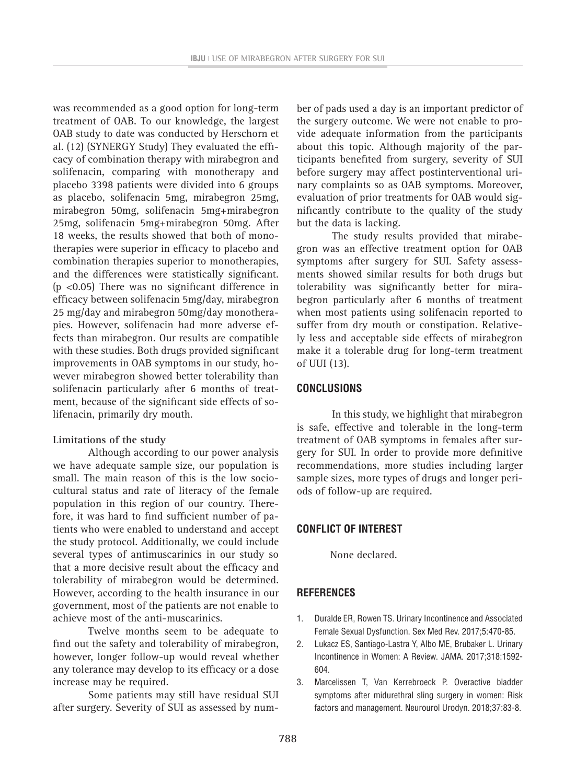was recommended as a good option for long-term treatment of OAB. To our knowledge, the largest OAB study to date was conducted by Herschorn et al. (12) (SYNERGY Study) They evaluated the efficacy of combination therapy with mirabegron and solifenacin, comparing with monotherapy and placebo 3398 patients were divided into 6 groups as placebo, solifenacin 5mg, mirabegron 25mg, mirabegron 50mg, solifenacin 5mg+mirabegron 25mg, solifenacin 5mg+mirabegron 50mg. After 18 weeks, the results showed that both of monotherapies were superior in efficacy to placebo and combination therapies superior to monotherapies, and the differences were statistically significant. (p <0.05) There was no significant difference in efficacy between solifenacin 5mg/day, mirabegron 25 mg/day and mirabegron 50mg/day monotherapies. However, solifenacin had more adverse effects than mirabegron. Our results are compatible with these studies. Both drugs provided significant improvements in OAB symptoms in our study, however mirabegron showed better tolerability than solifenacin particularly after 6 months of treatment, because of the significant side effects of solifenacin, primarily dry mouth.

## **Limitations of the study**

Although according to our power analysis we have adequate sample size, our population is small. The main reason of this is the low sociocultural status and rate of literacy of the female population in this region of our country. Therefore, it was hard to find sufficient number of patients who were enabled to understand and accept the study protocol. Additionally, we could include several types of antimuscarinics in our study so that a more decisive result about the efficacy and tolerability of mirabegron would be determined. However, according to the health insurance in our government, most of the patients are not enable to achieve most of the anti-muscarinics.

Twelve months seem to be adequate to find out the safety and tolerability of mirabegron, however, longer follow-up would reveal whether any tolerance may develop to its efficacy or a dose increase may be required.

Some patients may still have residual SUI after surgery. Severity of SUI as assessed by number of pads used a day is an important predictor of the surgery outcome. We were not enable to provide adequate information from the participants about this topic. Although majority of the participants benefited from surgery, severity of SUI before surgery may affect postinterventional urinary complaints so as OAB symptoms. Moreover, evaluation of prior treatments for OAB would significantly contribute to the quality of the study but the data is lacking.

The study results provided that mirabegron was an effective treatment option for OAB symptoms after surgery for SUI. Safety assessments showed similar results for both drugs but tolerability was significantly better for mirabegron particularly after 6 months of treatment when most patients using solifenacin reported to suffer from dry mouth or constipation. Relatively less and acceptable side effects of mirabegron make it a tolerable drug for long-term treatment of UUI (13).

### **CONCLUSIONS**

In this study, we highlight that mirabegron is safe, effective and tolerable in the long-term treatment of OAB symptoms in females after surgery for SUI. In order to provide more definitive recommendations, more studies including larger sample sizes, more types of drugs and longer periods of follow-up are required.

## **CONFLICT OF INTEREST**

None declared.

## **REFERENCES**

- 1. Duralde ER, Rowen TS. Urinary Incontinence and Associated Female Sexual Dysfunction. Sex Med Rev. 2017;5:470-85.
- 2. Lukacz ES, Santiago-Lastra Y, Albo ME, Brubaker L. Urinary Incontinence in Women: A Review. JAMA. 2017;318:1592- 604.
- 3. Marcelissen T, Van Kerrebroeck P. Overactive bladder symptoms after midurethral sling surgery in women: Risk factors and management. Neurourol Urodyn. 2018;37:83-8.